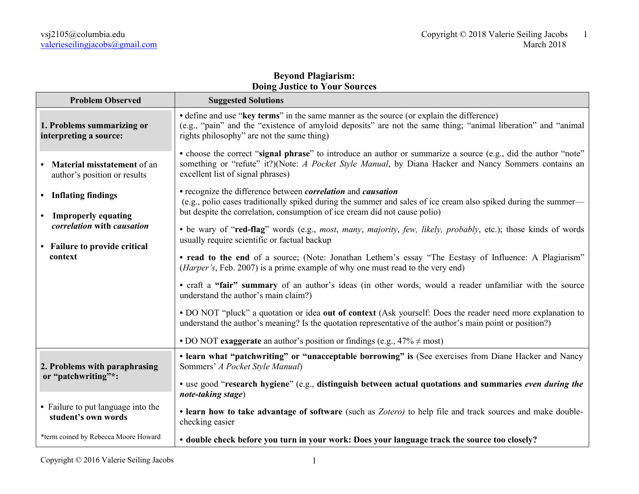## **Beyond Plagiarism: Doing Justice to Your Sources**

| <b>Problem Observed</b>                                                                                                 | <b>Suggested Solutions</b>                                                                                                                                                                                                                                                  |
|-------------------------------------------------------------------------------------------------------------------------|-----------------------------------------------------------------------------------------------------------------------------------------------------------------------------------------------------------------------------------------------------------------------------|
| 1. Problems summarizing or<br>interpreting a source:                                                                    | • define and use "key terms" in the same manner as the source (or explain the difference)<br>(e.g., "pain" and the "existence of amyloid deposits" are not the same thing; "animal liberation" and "animal<br>rights philosophy" are not the same thing)                    |
| Material misstatement of an<br>author's position or results                                                             | • choose the correct "signal phrase" to introduce an author or summarize a source (e.g., did the author "note"<br>something or "refute" it?)(Note: A Pocket Style Manual, by Diana Hacker and Nancy Sommers contains an<br>excellent list of signal phrases)                |
| • Inflating findings<br>• Improperly equating<br>correlation with causation<br>• Failure to provide critical<br>context | • recognize the difference between <i>correlation</i> and <i>causation</i><br>(e.g., polio cases traditionally spiked during the summer and sales of ice cream also spiked during the summer—<br>but despite the correlation, consumption of ice cream did not cause polio) |
|                                                                                                                         | · be wary of "red-flag" words (e.g., most, many, majority, few, likely, probably, etc.); those kinds of words<br>usually require scientific or factual backup                                                                                                               |
|                                                                                                                         | • read to the end of a source; (Note: Jonathan Lethem's essay "The Ecstasy of Influence: A Plagiarism"<br>( <i>Harper's</i> , Feb. 2007) is a prime example of why one must read to the very end)                                                                           |
|                                                                                                                         | • craft a "fair" summary of an author's ideas (in other words, would a reader unfamiliar with the source<br>understand the author's main claim?)                                                                                                                            |
|                                                                                                                         | • DO NOT "pluck" a quotation or idea out of context (Ask yourself: Does the reader need more explanation to<br>understand the author's meaning? Is the quotation representative of the author's main point or position?)                                                    |
|                                                                                                                         | • DO NOT exaggerate an author's position or findings (e.g., $47\% \neq \text{most}$ )                                                                                                                                                                                       |
| 2. Problems with paraphrasing<br>or "patchwriting"*:                                                                    | • learn what "patchwriting" or "unacceptable borrowing" is (See exercises from Diane Hacker and Nancy<br>Sommers' A Pocket Style Manual)                                                                                                                                    |
|                                                                                                                         | • use good "research hygiene" (e.g., distinguish between actual quotations and summaries even during the<br>note-taking stage)                                                                                                                                              |
| • Failure to put language into the<br>student's own words                                                               | • learn how to take advantage of software (such as Zotero) to help file and track sources and make double-<br>checking easier                                                                                                                                               |
| *term coined by Rebecca Moore Howard                                                                                    | • double check before you turn in your work: Does your language track the source too closely?                                                                                                                                                                               |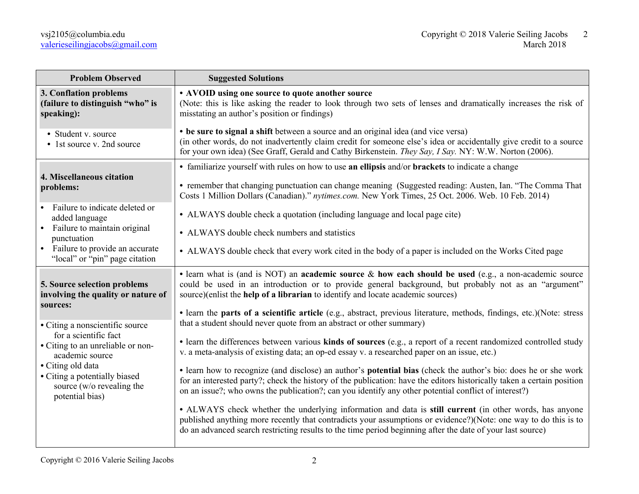| <b>Problem Observed</b>                                                                                                                                    | <b>Suggested Solutions</b>                                                                                                                                                                                                                                                                                                                        |
|------------------------------------------------------------------------------------------------------------------------------------------------------------|---------------------------------------------------------------------------------------------------------------------------------------------------------------------------------------------------------------------------------------------------------------------------------------------------------------------------------------------------|
| 3. Conflation problems<br>(failure to distinguish "who" is<br>speaking):                                                                                   | • AVOID using one source to quote another source<br>(Note: this is like asking the reader to look through two sets of lenses and dramatically increases the risk of<br>misstating an author's position or findings)                                                                                                                               |
| • Student v. source<br>• 1st source v. 2nd source                                                                                                          | • be sure to signal a shift between a source and an original idea (and vice versa)<br>(in other words, do not inadvertently claim credit for someone else's idea or accidentally give credit to a source<br>for your own idea) (See Graff, Gerald and Cathy Birkenstein. They Say, I Say. NY: W.W. Norton (2006).                                 |
|                                                                                                                                                            | • familiarize yourself with rules on how to use an ellipsis and/or brackets to indicate a change                                                                                                                                                                                                                                                  |
| 4. Miscellaneous citation<br>problems:                                                                                                                     | • remember that changing punctuation can change meaning (Suggested reading: Austen, Ian. "The Comma That<br>Costs 1 Million Dollars (Canadian)." nytimes.com. New York Times, 25 Oct. 2006. Web. 10 Feb. 2014)                                                                                                                                    |
| Failure to indicate deleted or<br>added language                                                                                                           | • ALWAYS double check a quotation (including language and local page cite)                                                                                                                                                                                                                                                                        |
| Failure to maintain original<br>$\bullet$<br>punctuation<br>• Failure to provide an accurate<br>"local" or "pin" page citation                             | • ALWAYS double check numbers and statistics                                                                                                                                                                                                                                                                                                      |
|                                                                                                                                                            | • ALWAYS double check that every work cited in the body of a paper is included on the Works Cited page                                                                                                                                                                                                                                            |
| 5. Source selection problems<br>involving the quality or nature of                                                                                         | • learn what is (and is NOT) an academic source & how each should be used (e.g., a non-academic source<br>could be used in an introduction or to provide general background, but probably not as an "argument"<br>source)(enlist the help of a librarian to identify and locate academic sources)                                                 |
| sources:                                                                                                                                                   | • learn the parts of a scientific article (e.g., abstract, previous literature, methods, findings, etc.)(Note: stress<br>that a student should never quote from an abstract or other summary)                                                                                                                                                     |
| • Citing a nonscientific source<br>for a scientific fact                                                                                                   |                                                                                                                                                                                                                                                                                                                                                   |
| • Citing to an unreliable or non-<br>academic source<br>• Citing old data<br>• Citing a potentially biased<br>source (w/o revealing the<br>potential bias) | • learn the differences between various kinds of sources (e.g., a report of a recent randomized controlled study<br>v. a meta-analysis of existing data; an op-ed essay v. a researched paper on an issue, etc.)                                                                                                                                  |
|                                                                                                                                                            | • learn how to recognize (and disclose) an author's potential bias (check the author's bio: does he or she work<br>for an interested party?; check the history of the publication: have the editors historically taken a certain position<br>on an issue?; who owns the publication?; can you identify any other potential conflict of interest?) |
|                                                                                                                                                            | • ALWAYS check whether the underlying information and data is still current (in other words, has anyone<br>published anything more recently that contradicts your assumptions or evidence?)(Note: one way to do this is to<br>do an advanced search restricting results to the time period beginning after the date of your last source)          |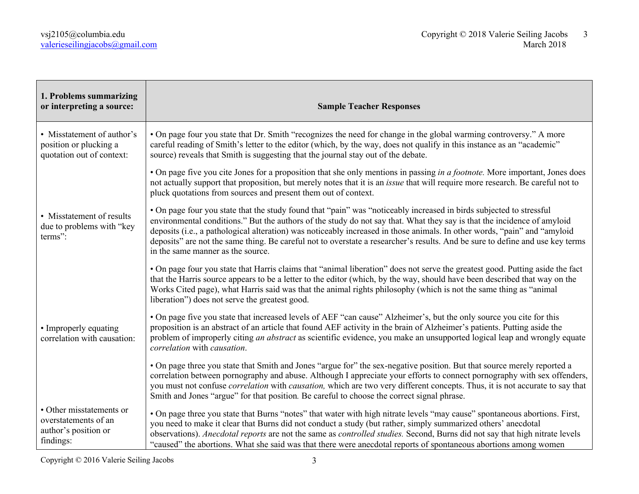| 1. Problems summarizing<br>or interpreting a source:                                  | <b>Sample Teacher Responses</b>                                                                                                                                                                                                                                                                                                                                                                                                                                                                                                                   |
|---------------------------------------------------------------------------------------|---------------------------------------------------------------------------------------------------------------------------------------------------------------------------------------------------------------------------------------------------------------------------------------------------------------------------------------------------------------------------------------------------------------------------------------------------------------------------------------------------------------------------------------------------|
| • Misstatement of author's<br>position or plucking a<br>quotation out of context:     | • On page four you state that Dr. Smith "recognizes the need for change in the global warming controversy." A more<br>careful reading of Smith's letter to the editor (which, by the way, does not qualify in this instance as an "academic"<br>source) reveals that Smith is suggesting that the journal stay out of the debate.                                                                                                                                                                                                                 |
|                                                                                       | • On page five you cite Jones for a proposition that she only mentions in passing in a footnote. More important, Jones does<br>not actually support that proposition, but merely notes that it is an <i>issue</i> that will require more research. Be careful not to<br>pluck quotations from sources and present them out of context.                                                                                                                                                                                                            |
| • Misstatement of results<br>due to problems with "key<br>terms":                     | • On page four you state that the study found that "pain" was "noticeably increased in birds subjected to stressful<br>environmental conditions." But the authors of the study do not say that. What they say is that the incidence of amyloid<br>deposits (i.e., a pathological alteration) was noticeably increased in those animals. In other words, "pain" and "amyloid<br>deposits" are not the same thing. Be careful not to overstate a researcher's results. And be sure to define and use key terms<br>in the same manner as the source. |
|                                                                                       | • On page four you state that Harris claims that "animal liberation" does not serve the greatest good. Putting aside the fact<br>that the Harris source appears to be a letter to the editor (which, by the way, should have been described that way on the<br>Works Cited page), what Harris said was that the animal rights philosophy (which is not the same thing as "animal"<br>liberation") does not serve the greatest good.                                                                                                               |
| • Improperly equating<br>correlation with causation:                                  | • On page five you state that increased levels of AEF "can cause" Alzheimer's, but the only source you cite for this<br>proposition is an abstract of an article that found AEF activity in the brain of Alzheimer's patients. Putting aside the<br>problem of improperly citing an abstract as scientific evidence, you make an unsupported logical leap and wrongly equate<br>correlation with causation.                                                                                                                                       |
|                                                                                       | • On page three you state that Smith and Jones "argue for" the sex-negative position. But that source merely reported a<br>correlation between pornography and abuse. Although I appreciate your efforts to connect pornography with sex offenders,<br>you must not confuse <i>correlation</i> with <i>causation</i> , which are two very different concepts. Thus, it is not accurate to say that<br>Smith and Jones "argue" for that position. Be careful to choose the correct signal phrase.                                                  |
| • Other misstatements or<br>overstatements of an<br>author's position or<br>findings: | • On page three you state that Burns "notes" that water with high nitrate levels "may cause" spontaneous abortions. First,<br>you need to make it clear that Burns did not conduct a study (but rather, simply summarized others' anecdotal<br>observations). Anecdotal reports are not the same as controlled studies. Second, Burns did not say that high nitrate levels<br>"caused" the abortions. What she said was that there were anecdotal reports of spontaneous abortions among women                                                    |

Copyright © 2016 Valerie Seiling Jacobs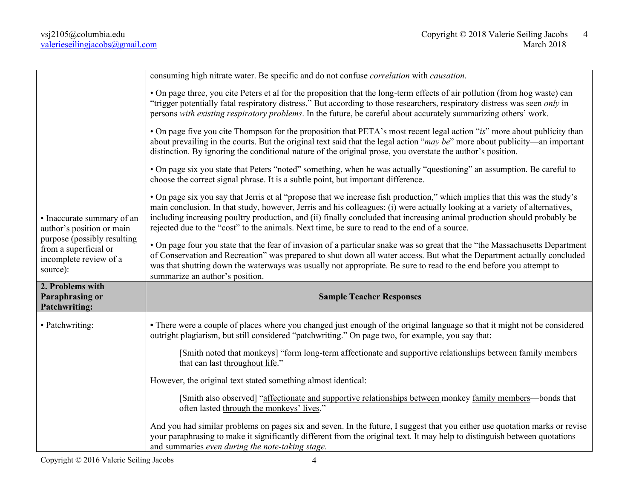| • Inaccurate summary of an<br>author's position or main<br>purpose (possibly resulting<br>from a superficial or<br>incomplete review of a<br>source): | consuming high nitrate water. Be specific and do not confuse <i>correlation</i> with <i>causation</i> .                                                                                                                                                                                                                                                                                                                                                                                 |
|-------------------------------------------------------------------------------------------------------------------------------------------------------|-----------------------------------------------------------------------------------------------------------------------------------------------------------------------------------------------------------------------------------------------------------------------------------------------------------------------------------------------------------------------------------------------------------------------------------------------------------------------------------------|
|                                                                                                                                                       | • On page three, you cite Peters et al for the proposition that the long-term effects of air pollution (from hog waste) can<br>"trigger potentially fatal respiratory distress." But according to those researchers, respiratory distress was seen only in<br>persons with existing respiratory problems. In the future, be careful about accurately summarizing others' work.                                                                                                          |
|                                                                                                                                                       | • On page five you cite Thompson for the proposition that PETA's most recent legal action "is" more about publicity than<br>about prevailing in the courts. But the original text said that the legal action " $may$ be" more about publicity—an important<br>distinction. By ignoring the conditional nature of the original prose, you overstate the author's position.                                                                                                               |
|                                                                                                                                                       | • On page six you state that Peters "noted" something, when he was actually "questioning" an assumption. Be careful to<br>choose the correct signal phrase. It is a subtle point, but important difference.                                                                                                                                                                                                                                                                             |
|                                                                                                                                                       | • On page six you say that Jerris et al "propose that we increase fish production," which implies that this was the study's<br>main conclusion. In that study, however, Jerris and his colleagues: (i) were actually looking at a variety of alternatives,<br>including increasing poultry production, and (ii) finally concluded that increasing animal production should probably be<br>rejected due to the "cost" to the animals. Next time, be sure to read to the end of a source. |
|                                                                                                                                                       | • On page four you state that the fear of invasion of a particular snake was so great that the "the Massachusetts Department<br>of Conservation and Recreation" was prepared to shut down all water access. But what the Department actually concluded<br>was that shutting down the waterways was usually not appropriate. Be sure to read to the end before you attempt to<br>summarize an author's position.                                                                         |
| 2. Problems with<br><b>Paraphrasing or</b><br><b>Patchwriting:</b>                                                                                    | <b>Sample Teacher Responses</b>                                                                                                                                                                                                                                                                                                                                                                                                                                                         |
| • Patchwriting:                                                                                                                                       | • There were a couple of places where you changed just enough of the original language so that it might not be considered<br>outright plagiarism, but still considered "patchwriting." On page two, for example, you say that:                                                                                                                                                                                                                                                          |
|                                                                                                                                                       | [Smith noted that monkeys] "form long-term affectionate and supportive relationships between family members<br>that can last throughout life."                                                                                                                                                                                                                                                                                                                                          |
|                                                                                                                                                       | However, the original text stated something almost identical:                                                                                                                                                                                                                                                                                                                                                                                                                           |
|                                                                                                                                                       | [Smith also observed] "affectionate and supportive relationships between monkey family members—bonds that<br>often lasted through the monkeys' lives."                                                                                                                                                                                                                                                                                                                                  |
|                                                                                                                                                       | And you had similar problems on pages six and seven. In the future, I suggest that you either use quotation marks or revise<br>your paraphrasing to make it significantly different from the original text. It may help to distinguish between quotations<br>and summaries even during the note-taking stage.                                                                                                                                                                           |

Copyright © 2016 Valerie Seiling Jacobs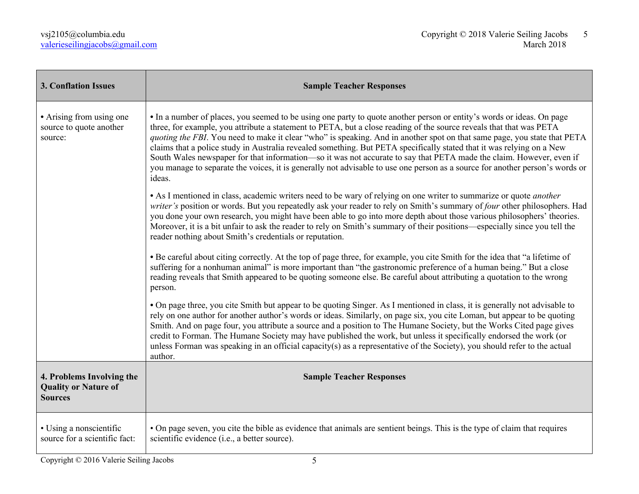| <b>3. Conflation Issues</b>                                                | <b>Sample Teacher Responses</b>                                                                                                                                                                                                                                                                                                                                                                                                                                                                                                                                                                                                                                                                                                                                    |
|----------------------------------------------------------------------------|--------------------------------------------------------------------------------------------------------------------------------------------------------------------------------------------------------------------------------------------------------------------------------------------------------------------------------------------------------------------------------------------------------------------------------------------------------------------------------------------------------------------------------------------------------------------------------------------------------------------------------------------------------------------------------------------------------------------------------------------------------------------|
| • Arising from using one<br>source to quote another<br>source:             | • In a number of places, you seemed to be using one party to quote another person or entity's words or ideas. On page<br>three, for example, you attribute a statement to PETA, but a close reading of the source reveals that that was PETA<br>quoting the FBI. You need to make it clear "who" is speaking. And in another spot on that same page, you state that PETA<br>claims that a police study in Australia revealed something. But PETA specifically stated that it was relying on a New<br>South Wales newspaper for that information—so it was not accurate to say that PETA made the claim. However, even if<br>you manage to separate the voices, it is generally not advisable to use one person as a source for another person's words or<br>ideas. |
|                                                                            | • As I mentioned in class, academic writers need to be wary of relying on one writer to summarize or quote <i>another</i><br>writer's position or words. But you repeatedly ask your reader to rely on Smith's summary of four other philosophers. Had<br>you done your own research, you might have been able to go into more depth about those various philosophers' theories.<br>Moreover, it is a bit unfair to ask the reader to rely on Smith's summary of their positions—especially since you tell the<br>reader nothing about Smith's credentials or reputation.                                                                                                                                                                                          |
|                                                                            | • Be careful about citing correctly. At the top of page three, for example, you cite Smith for the idea that "a lifetime of<br>suffering for a nonhuman animal" is more important than "the gastronomic preference of a human being." But a close<br>reading reveals that Smith appeared to be quoting someone else. Be careful about attributing a quotation to the wrong<br>person.                                                                                                                                                                                                                                                                                                                                                                              |
|                                                                            | • On page three, you cite Smith but appear to be quoting Singer. As I mentioned in class, it is generally not advisable to<br>rely on one author for another author's words or ideas. Similarly, on page six, you cite Loman, but appear to be quoting<br>Smith. And on page four, you attribute a source and a position to The Humane Society, but the Works Cited page gives<br>credit to Forman. The Humane Society may have published the work, but unless it specifically endorsed the work (or<br>unless Forman was speaking in an official capacity(s) as a representative of the Society), you should refer to the actual<br>author.                                                                                                                       |
| 4. Problems Involving the<br><b>Quality or Nature of</b><br><b>Sources</b> | <b>Sample Teacher Responses</b>                                                                                                                                                                                                                                                                                                                                                                                                                                                                                                                                                                                                                                                                                                                                    |
| • Using a nonscientific<br>source for a scientific fact:                   | • On page seven, you cite the bible as evidence that animals are sentient beings. This is the type of claim that requires<br>scientific evidence (i.e., a better source).                                                                                                                                                                                                                                                                                                                                                                                                                                                                                                                                                                                          |